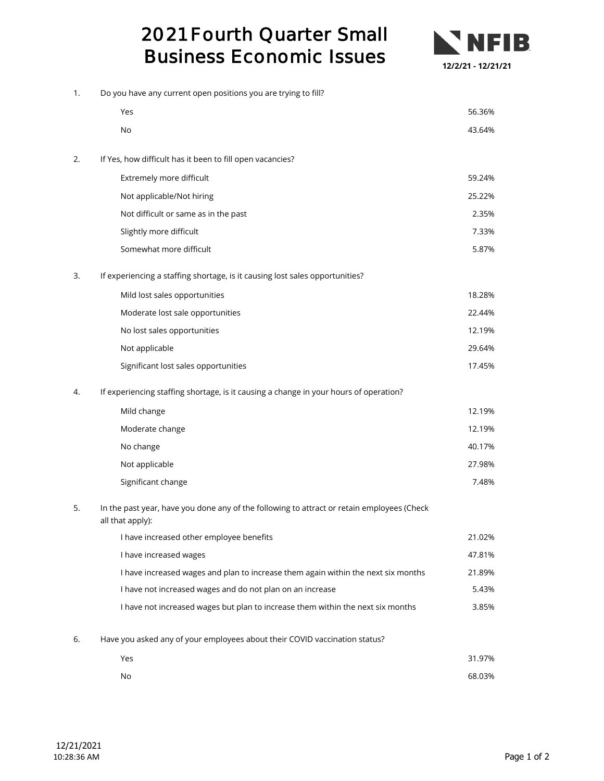## 2021 Fourth Quarter Small Business Economic Issues



| 1. | Do you have any current open positions you are trying to fill?                                                 |        |  |
|----|----------------------------------------------------------------------------------------------------------------|--------|--|
|    | Yes                                                                                                            | 56.36% |  |
|    | No                                                                                                             | 43.64% |  |
| 2. | If Yes, how difficult has it been to fill open vacancies?                                                      |        |  |
|    | Extremely more difficult                                                                                       | 59.24% |  |
|    | Not applicable/Not hiring                                                                                      | 25.22% |  |
|    | Not difficult or same as in the past                                                                           | 2.35%  |  |
|    | Slightly more difficult                                                                                        | 7.33%  |  |
|    | Somewhat more difficult                                                                                        | 5.87%  |  |
| 3. | If experiencing a staffing shortage, is it causing lost sales opportunities?                                   |        |  |
|    | Mild lost sales opportunities                                                                                  | 18.28% |  |
|    | Moderate lost sale opportunities                                                                               | 22.44% |  |
|    | No lost sales opportunities                                                                                    | 12.19% |  |
|    | Not applicable                                                                                                 | 29.64% |  |
|    | Significant lost sales opportunities                                                                           | 17.45% |  |
| 4. | If experiencing staffing shortage, is it causing a change in your hours of operation?                          |        |  |
|    | Mild change                                                                                                    | 12.19% |  |
|    | Moderate change                                                                                                | 12.19% |  |
|    | No change                                                                                                      | 40.17% |  |
|    | Not applicable                                                                                                 | 27.98% |  |
|    | Significant change                                                                                             | 7.48%  |  |
| 5. | In the past year, have you done any of the following to attract or retain employees (Check<br>all that apply): |        |  |
|    | I have increased other employee benefits                                                                       | 21.02% |  |
|    | I have increased wages                                                                                         | 47.81% |  |
|    | I have increased wages and plan to increase them again within the next six months                              | 21.89% |  |
|    | I have not increased wages and do not plan on an increase                                                      | 5.43%  |  |
|    | I have not increased wages but plan to increase them within the next six months                                | 3.85%  |  |
| 6. | Have you asked any of your employees about their COVID vaccination status?                                     |        |  |
|    | Yes                                                                                                            | 31.97% |  |
|    | No                                                                                                             | 68.03% |  |